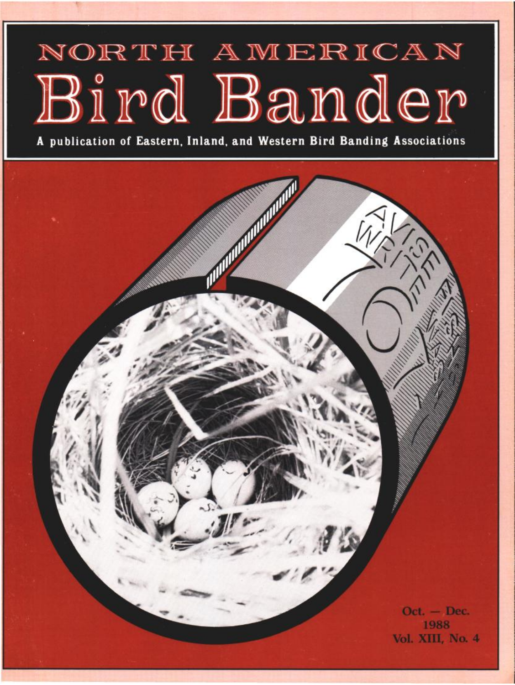# NORTH AMERICAN Bird Bander

**A publication of Eastern, Inland, and Western Bird Banding Associations** 

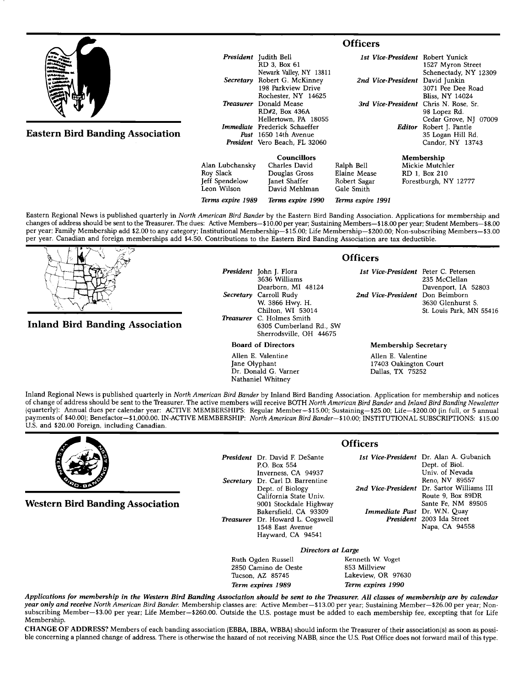

| Terms expire 1989 | Terms expire 1990  | Terms expire 1991 |                       |
|-------------------|--------------------|-------------------|-----------------------|
| Leon Wilson       | David Mehlman      | Gale Smith        |                       |
| Jeff Spendelow    | Janet Shaffer      | Robert Sagar      | Forestburgh, NY 12777 |
| Roy Slack         | Douglas Gross      | Elaine Mease      | RD 1. Box 210         |
| Alan Lubchansky   | Charles David      | Ralph Bell        | Mickie Mutchler       |
|                   | <b>Councillors</b> |                   | Membership            |

**Eastern Regional News is published quarterly in North American Bird Bander by the Eastern Bird Banding Association. Applications for membership and**  changes of address should be sent to the Treasurer. The dues: Active Members-\$10.00 per year; Sustaining Members--\$18.00 per year; Student Members-\$8.00 **per year; Family Membership add \$2.00 to any category; Institutional Membership--\$15.00; Life Membership--S200.00; Non-subscribing Members--S3.00 per year. Canadian and foreign memberships add \$4.50. Contributions to the Eastern Bird Banding Association are tax deductible.** 



## **Inland Bird Banding Association**

**President John J. Flora 3636 Williams Dearborn, MI 48124 Secretary Carroll Rudy W. 3866 Hwy. H. Chilton, WI 53014 Treasurer C. Holmes Smith 6305 Cumberland Rd., SW Sherrodsville, OH 44675** 

**Board of Directors** 

**Allen E. Valentine Jane Olyphant Dr. Donald G. Varner Nathaniel Whitney** 

## **Officers**

**1st Vice-President Peter C. Petersen 235 McClellan Davenport, IA 52803**  2nd Vice-President Don Beimborn **3630 Glenhurst S. St. Louis Park, MN 55416** 

### **Membership Secretary**

**Allen E. Valentine 17403 Oakington Court Dallas, TX 75252** 

**Inland Regional News is published quarterly in North American Bird Bander by Inland Bird Banding Association. Application for membership and notices of change of addresshould be sent to the Treasurer. The active members will receive BOTH North American Bird Bander and Inland Bird Banding Newsletter {quarterly}: Annual dues per calendar year: ACTIVE MEMBERSHIPS: Regular Member--S15.00; Sustaining--S25.00:Life--S200.00 {in full, or 5 annual**  payments of \$40.00); Benefactor-\$1,000.00. IN-ACTIVE MEMBERSHIP: North American Bird Bander-\$10.00; INSTITUTIONAL SUBSCRIPTIONS: \$15.00 **U.S. and \$20.00 Foreign, including Canadian.** 



**Western Bird Banding Association** 

**President Dr. David E DeSante EO. Box 554 Inverness, CA 94937 Secretary Dr. Carl D. Barrentine Dept. of Biology California State Univ. 9001 Stockdale Highway Bakersfield, CA 93309 Treasurer Dr. Howard L. Cogswell 1548 East Avenue Hayward, CA 94541** 

**1st Vice-President Dr. Alan A. Gubanich Dept. of Biol. Univ. of Nevada Reno, NV 89557 2rid Vice-President Dr. Sartor Williams III Route 9, Box 89DR Sante Fe, NM 89505 Immediate Past Dr. W.N. Quay President 2003 Ida Street Napa, CA 94558** 

**Ruth Ogden Russell Kenneth W. Voget Camino de Oeste Results** 853 Millview 2850 Camino de Oeste<br>Tucson, AZ 85745 **Term expires 1989 Term expires 1990** 

**Directors at Large**  Lakeview, OR 97630

**Applications for membership in the Western Bird Banding Association should be sent to the Treasurer. All classes of membership are by calendar**  year only and receive North American Bird Bander. Membership classes are: Active Member-\$13.00 per year; Sustaining Member-\$26.00 per year; Non**subscribing Member--S3.00 per year: Life Member--S260.00. Outside the U.S. postage must be added to each membership fee, excepting that for Life Membership.** 

CHANGE OF ADDRESS? Members of each banding association (EBBA, IBBA, WBBA) should inform the Treasurer of their association(s) as soon as possible concerning a planned change of address. There is otherwise the hazard of not receiving NABB, since the U.S. Post Office does not forward mail of this type.

**Officers**